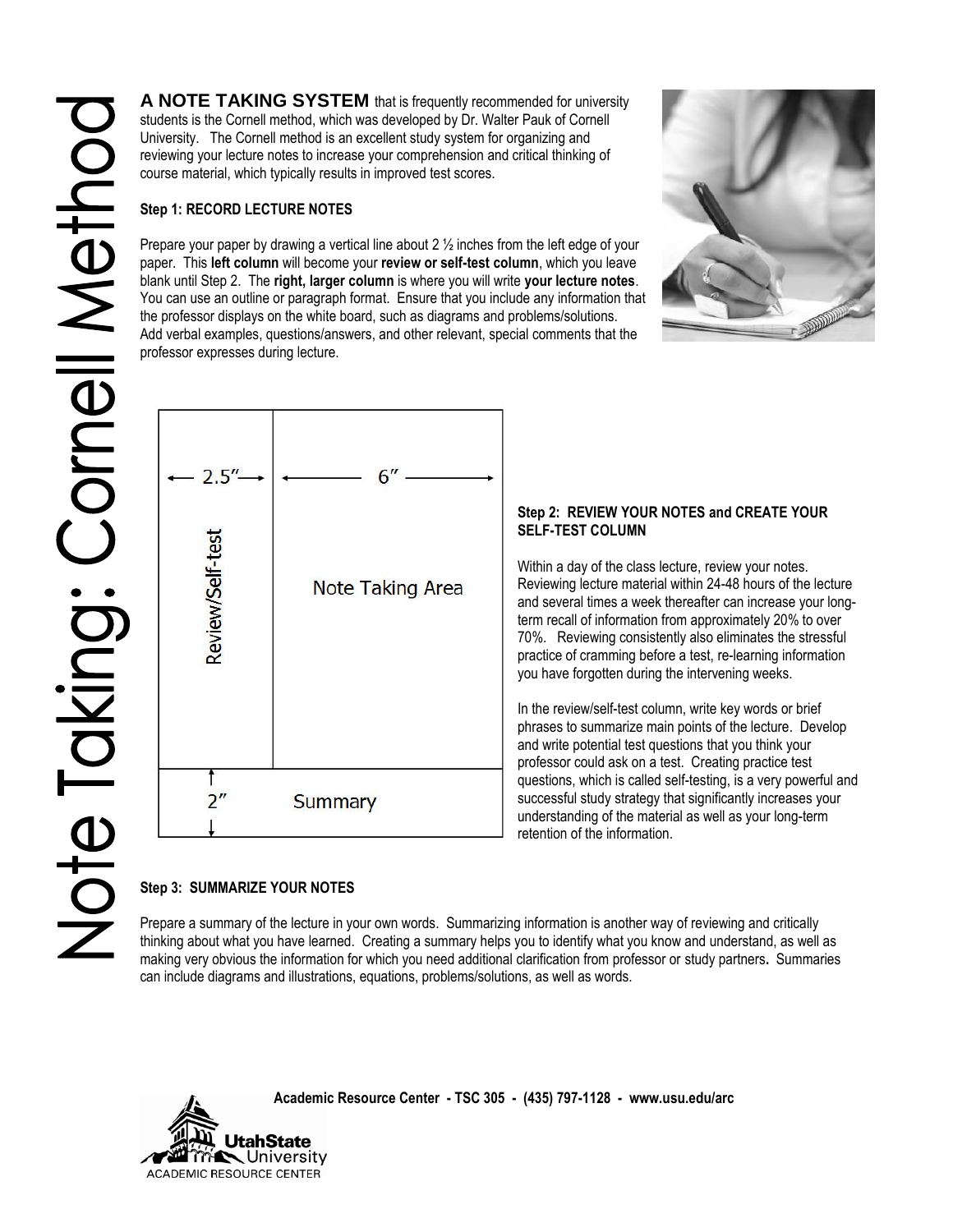**A NOTE TAKING SYSTEM** that is frequently recommended for university students is the Cornell method, which was developed by Dr. Walter Pauk of Cornell University. The Cornell method is an excellent study system for organizing and reviewing your lecture notes to increase your comprehension and critical thinking of course material, which typically results in improved test scores.

## **Step 1: RECORD LECTURE NOTES**

Prepare your paper by drawing a vertical line about  $2\frac{1}{2}$  inches from the left edge of your paper. This **left column** will become your **review or self-test column**, which you leave blank until Step 2. The **right, larger column** is where you will write **your lecture notes**. You can use an outline or paragraph format. Ensure that you include any information that the professor displays on the white board, such as diagrams and problems/solutions. Add verbal examples, questions/answers, and other relevant, special comments that the professor expresses during lecture.





# **Step 3: SUMMARIZE YOUR NOTES**

Prepare a summary of the lecture in your own words. Summarizing information is another way of reviewing and critically thinking about what you have learned. Creating a summary helps you to identify what you know and understand, as well as making very obvious the information for which you need additional clarification from professor or study partners**.** Summaries can include diagrams and illustrations, equations, problems/solutions, as well as words.